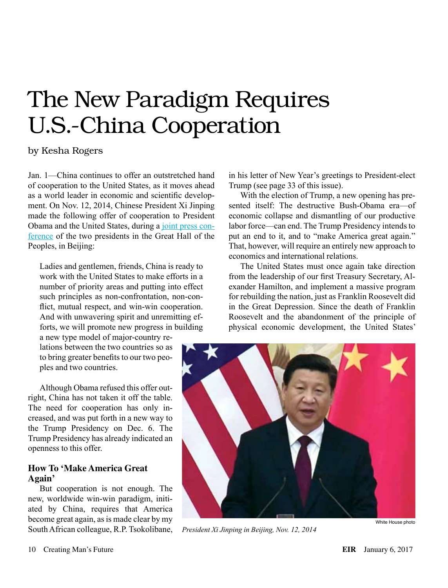# The New Paradigm Requires U.S.-China Cooperation

## by Kesha Rogers

Jan. 1—China continues to offer an outstretched hand of cooperation to the United States, as it moves ahead as a world leader in economic and scientific development. On Nov. 12, 2014, Chinese President Xi Jinping made the following offer of cooperation to President Obama and the United States, during a [joint press con](https://www.whitehouse.gov/the-press-office/2014/11/12/remarks-president-obama-and-president-xi-jinping-joint-press-conference)[ference](https://www.whitehouse.gov/the-press-office/2014/11/12/remarks-president-obama-and-president-xi-jinping-joint-press-conference) of the two presidents in the Great Hall of the Peoples, in Beijing:

Ladies and gentlemen, friends, China is ready to work with the United States to make efforts in a number of priority areas and putting into effect such principles as non-confrontation, non-conflict, mutual respect, and win-win cooperation. And with unwavering spirit and unremitting efforts, we will promote new progress in building

a new type model of major-country relations between the two countries so as to bring greater benefits to our two peoples and two countries.

Although Obama refused this offer outright, China has not taken it off the table. The need for cooperation has only increased, and was put forth in a new way to the Trump Presidency on Dec. 6. The Trump Presidency has already indicated an openness to this offer.

### **How To 'Make America Great Again'**

But cooperation is not enough. The new, worldwide win-win paradigm, initiated by China, requires that America become great again, as is made clear by my South African colleague, R.P. Tsokolibane,

in his letter of New Year's greetings to President-elect Trump (see page 33 of this issue).

With the election of Trump, a new opening has presented itself: The destructive Bush-Obama era—of economic collapse and dismantling of our productive labor force—can end. The Trump Presidency intends to put an end to it, and to "make America great again." That, however, will require an entirely new approach to economics and international relations.

The United States must once again take direction from the leadership of our first Treasury Secretary, Alexander Hamilton, and implement a massive program for rebuilding the nation, just as Franklin Roosevelt did in the Great Depression. Since the death of Franklin Roosevelt and the abandonment of the principle of physical economic development, the United States'



*President Xi Jinping in Beijing, Nov. 12, 2014*

White House photo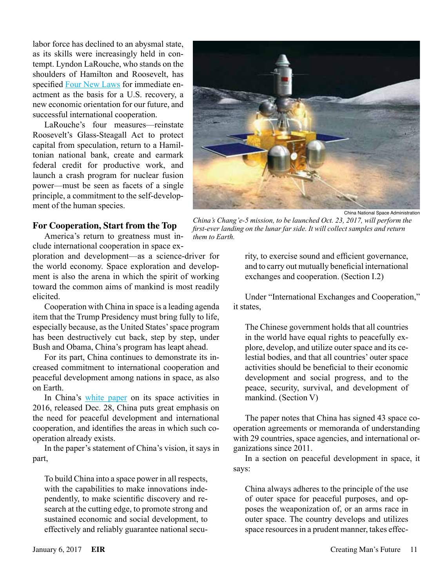labor force has declined to an abysmal state, as its skills were increasingly held in contempt. Lyndon LaRouche, who stands on the shoulders of Hamilton and Roosevelt, has specified [Four New Laws](http://action.larouchepac.com/know_the_full_story) for immediate enactment as the basis for a U.S. recovery, a new economic orientation for our future, and successful international cooperation.

LaRouche's four measures—reinstate Roosevelt's Glass-Steagall Act to protect capital from speculation, return to a Hamiltonian national bank, create and earmark federal credit for productive work, and launch a crash program for nuclear fusion power—must be seen as facets of a single principle, a commitment to the self-development of the human species.

#### **For Cooperation, Start from the Top**

America's return to greatness must include international cooperation in space ex-

ploration and development—as a science-driver for the world economy. Space exploration and development is also the arena in which the spirit of working toward the common aims of mankind is most readily elicited.

Cooperation with China in space is a leading agenda item that the Trump Presidency must bring fully to life, especially because, as the United States' space program has been destructively cut back, step by step, under Bush and Obama, China's program has leapt ahead.

For its part, China continues to demonstrate its increased commitment to international cooperation and peaceful development among nations in space, as also on Earth.

In China's [white paper](http://english.gov.cn/archive/white_paper/2016/12/28/content_281475527159496.htm) on its space activities in 2016, released Dec. 28, China puts great emphasis on the need for peaceful development and international cooperation, and identifies the areas in which such cooperation already exists.

In the paper's statement of China's vision, it says in part,

To build China into a space power in all respects, with the capabilities to make innovations independently, to make scientific discovery and research at the cutting edge, to promote strong and sustained economic and social development, to effectively and reliably guarantee national secu-



China National Space Administration

*China's Chang'e-5 mission, to be launched Oct. 23, 2017, will perform the first-ever landing on the lunar far side. It will collect samples and return them to Earth.*

rity, to exercise sound and efficient governance, and to carry out mutually beneficial international exchanges and cooperation. (Section I.2)

Under "International Exchanges and Cooperation," it states,

The Chinese government holds that all countries in the world have equal rights to peacefully explore, develop, and utilize outer space and its celestial bodies, and that all countries' outer space activities should be beneficial to their economic development and social progress, and to the peace, security, survival, and development of mankind. (Section V)

The paper notes that China has signed 43 space cooperation agreements or memoranda of understanding with 29 countries, space agencies, and international organizations since 2011.

In a section on peaceful development in space, it says:

China always adheres to the principle of the use of outer space for peaceful purposes, and opposes the weaponization of, or an arms race in outer space. The country develops and utilizes space resources in a prudent manner, takes effec-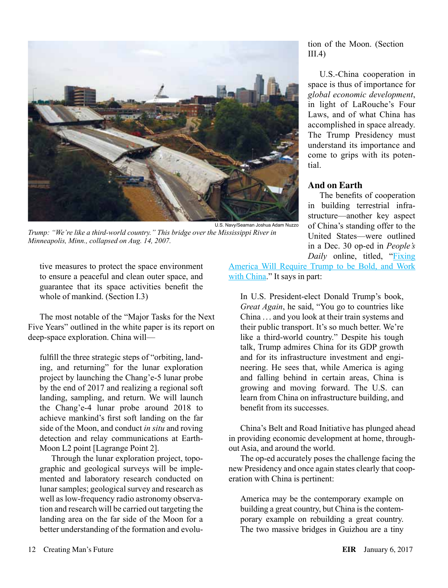

*Trump: "We're like a third-world country." This bridge over the Mississippi River in Minneapolis, Minn., collapsed on Aug. 14, 2007.*

tive measures to protect the space environment to ensure a peaceful and clean outer space, and guarantee that its space activities benefit the whole of mankind. (Section I.3)

The most notable of the "Major Tasks for the Next Five Years" outlined in the white paper is its report on deep-space exploration. China will—

fulfill the three strategic steps of "orbiting, landing, and returning" for the lunar exploration project by launching the Chang'e-5 lunar probe by the end of 2017 and realizing a regional soft landing, sampling, and return. We will launch the Chang'e-4 lunar probe around 2018 to achieve mankind's first soft landing on the far side of the Moon, and conduct *in situ* and roving detection and relay communications at Earth-Moon L2 point [Lagrange Point 2].

Through the lunar exploration project, topographic and geological surveys will be implemented and laboratory research conducted on lunar samples; geological survey and research as well as low-frequency radio astronomy observation and research will be carried out targeting the landing area on the far side of the Moon for a better understanding of the formation and evolution of the Moon. (Section  $III.4$ )

U.S.-China cooperation in space is thus of importance for *global economic development*, in light of LaRouche's Four Laws, and of what China has accomplished in space already. The Trump Presidency must understand its importance and come to grips with its potential.

## **And on Earth**

The benefits of cooperation in building terrestrial infrastructure—another key aspect of China's standing offer to the United States—were outlined in a Dec. 30 op-ed in *People's Daily* online, titled, ["Fixing](http://en.people.cn/n3/2016/1230/c90000-9161240.html)

[America Will Require Trump to be Bold, and Work](http://en.people.cn/n3/2016/1230/c90000-9161240.html)  [with China](http://en.people.cn/n3/2016/1230/c90000-9161240.html)." It says in part:

In U.S. President-elect Donald Trump's book, *Great Again*, he said, "You go to countries like China . .. and you look at their train systems and their public transport. It's so much better. We're like a third-world country." Despite his tough talk, Trump admires China for its GDP growth and for its infrastructure investment and engineering. He sees that, while America is aging and falling behind in certain areas, China is growing and moving forward. The U.S. can learn from China on infrastructure building, and benefit from its successes.

China's Belt and Road Initiative has plunged ahead in providing economic development at home, throughout Asia, and around the world.

The op-ed accurately poses the challenge facing the new Presidency and once again states clearly that cooperation with China is pertinent:

America may be the contemporary example on building a great country, but China is the contemporary example on rebuilding a great country. The two massive bridges in Guizhou are a tiny